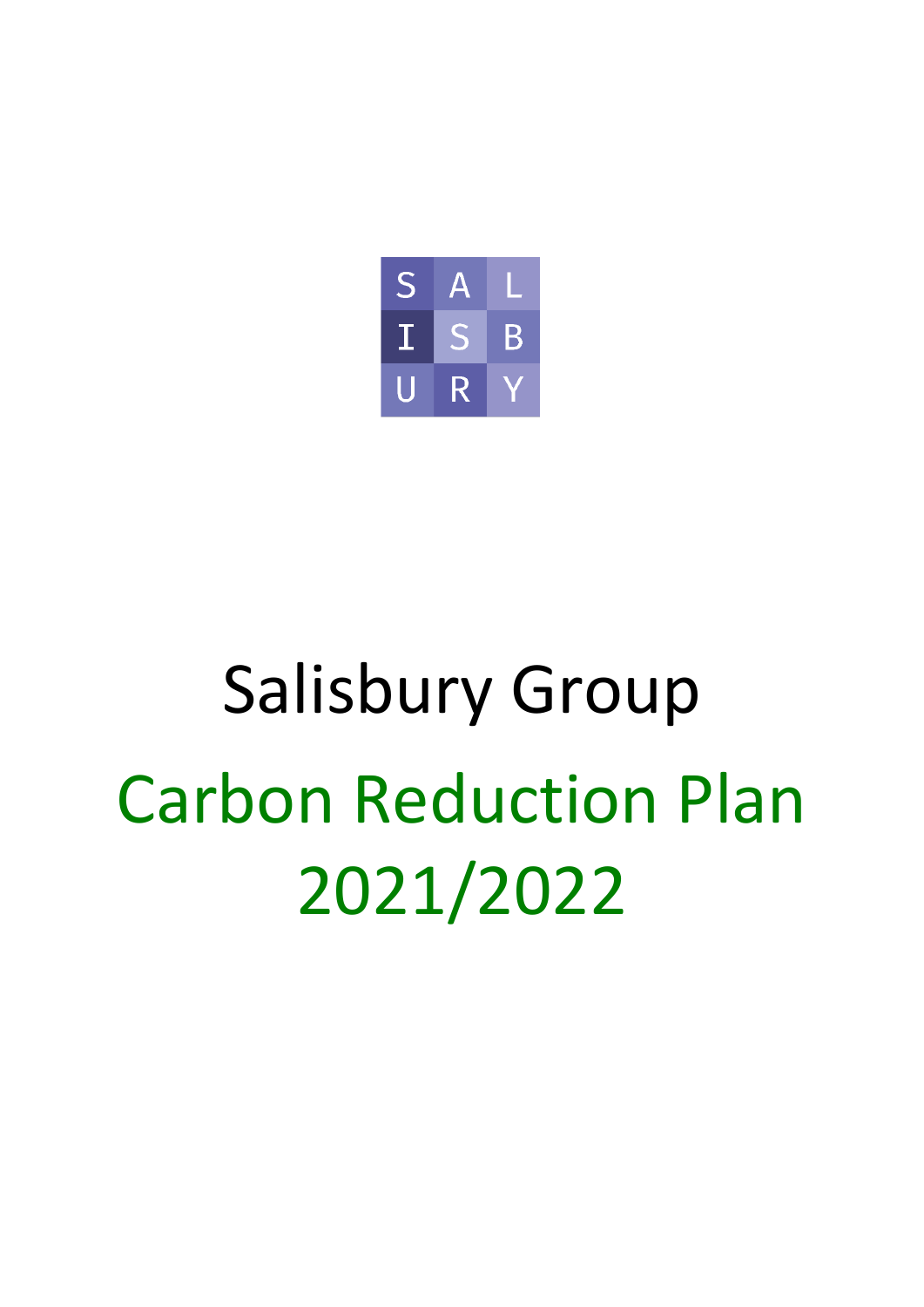

# Salisbury Group Carbon Reduction Plan 2021/2022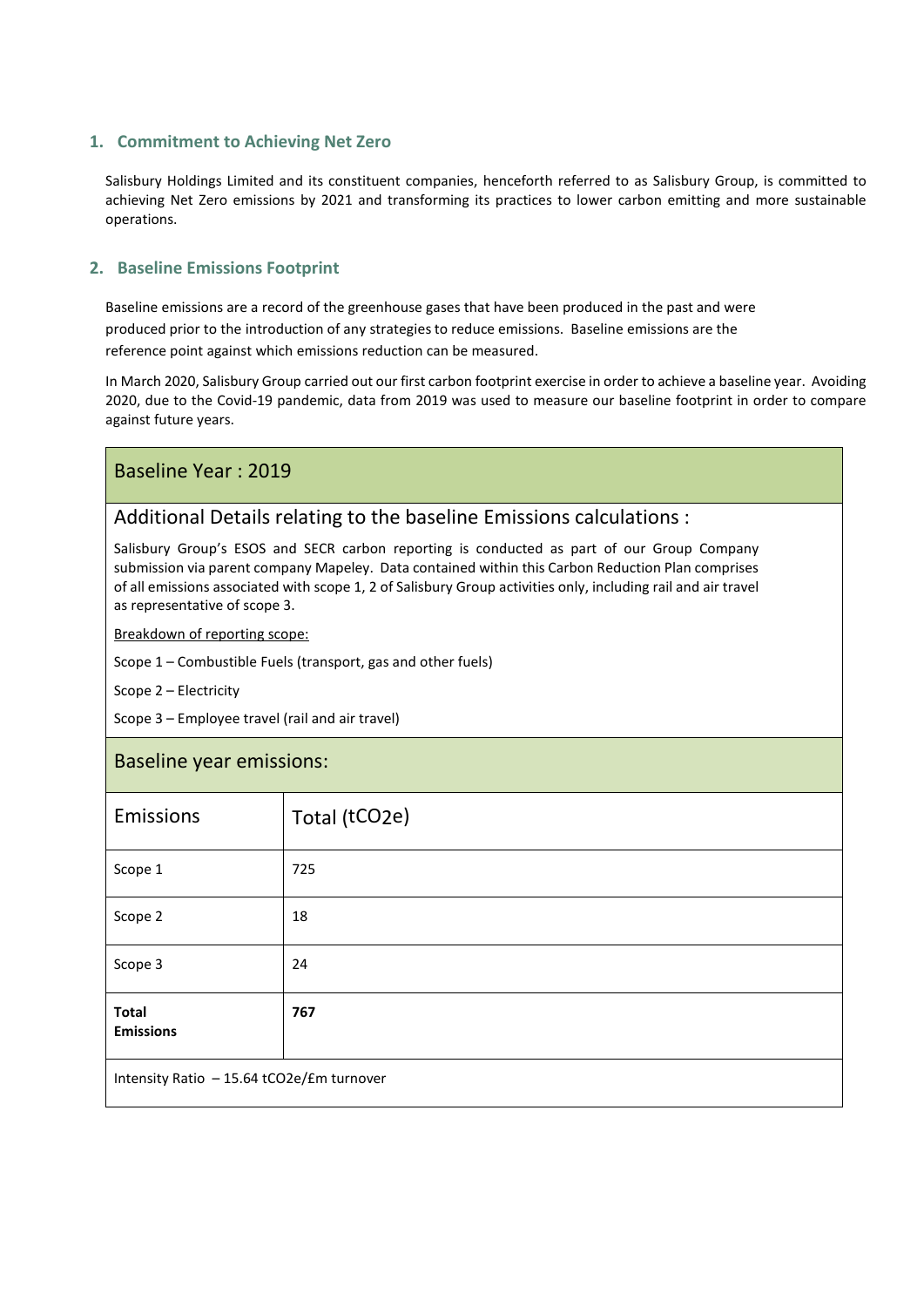### **1. Commitment to Achieving Net Zero**

Salisbury Holdings Limited and its constituent companies, henceforth referred to as Salisbury Group, is committed to achieving Net Zero emissions by 2021 and transforming its practices to lower carbon emitting and more sustainable operations.

#### **2. Baseline Emissions Footprint**

Baseline emissions are a record of the greenhouse gases that have been produced in the past and were produced prior to the introduction of any strategies to reduce emissions. Baseline emissions are the reference point against which emissions reduction can be measured.

In March 2020, Salisbury Group carried out our first carbon footprint exercise in order to achieve a baseline year. Avoiding 2020, due to the Covid-19 pandemic, data from 2019 was used to measure our baseline footprint in order to compare against future years.

# Baseline Year : 2019

# Additional Details relating to the baseline Emissions calculations :

Salisbury Group's ESOS and SECR carbon reporting is conducted as part of our Group Company submission via parent company Mapeley. Data contained within this Carbon Reduction Plan comprises of all emissions associated with scope 1, 2 of Salisbury Group activities only, including rail and air travel as representative of scope 3.

Breakdown of reporting scope:

Scope 1 – Combustible Fuels (transport, gas and other fuels)

Scope 2 – Electricity

Scope 3 – Employee travel (rail and air travel)

## Baseline year emissions:

| Emissions                                 | Total (tCO2e) |  |  |
|-------------------------------------------|---------------|--|--|
| Scope 1                                   | 725           |  |  |
| Scope 2                                   | 18            |  |  |
| Scope 3                                   | 24            |  |  |
| <b>Total</b><br><b>Emissions</b>          | 767           |  |  |
| Intensity Ratio - 15.64 tCO2e/£m turnover |               |  |  |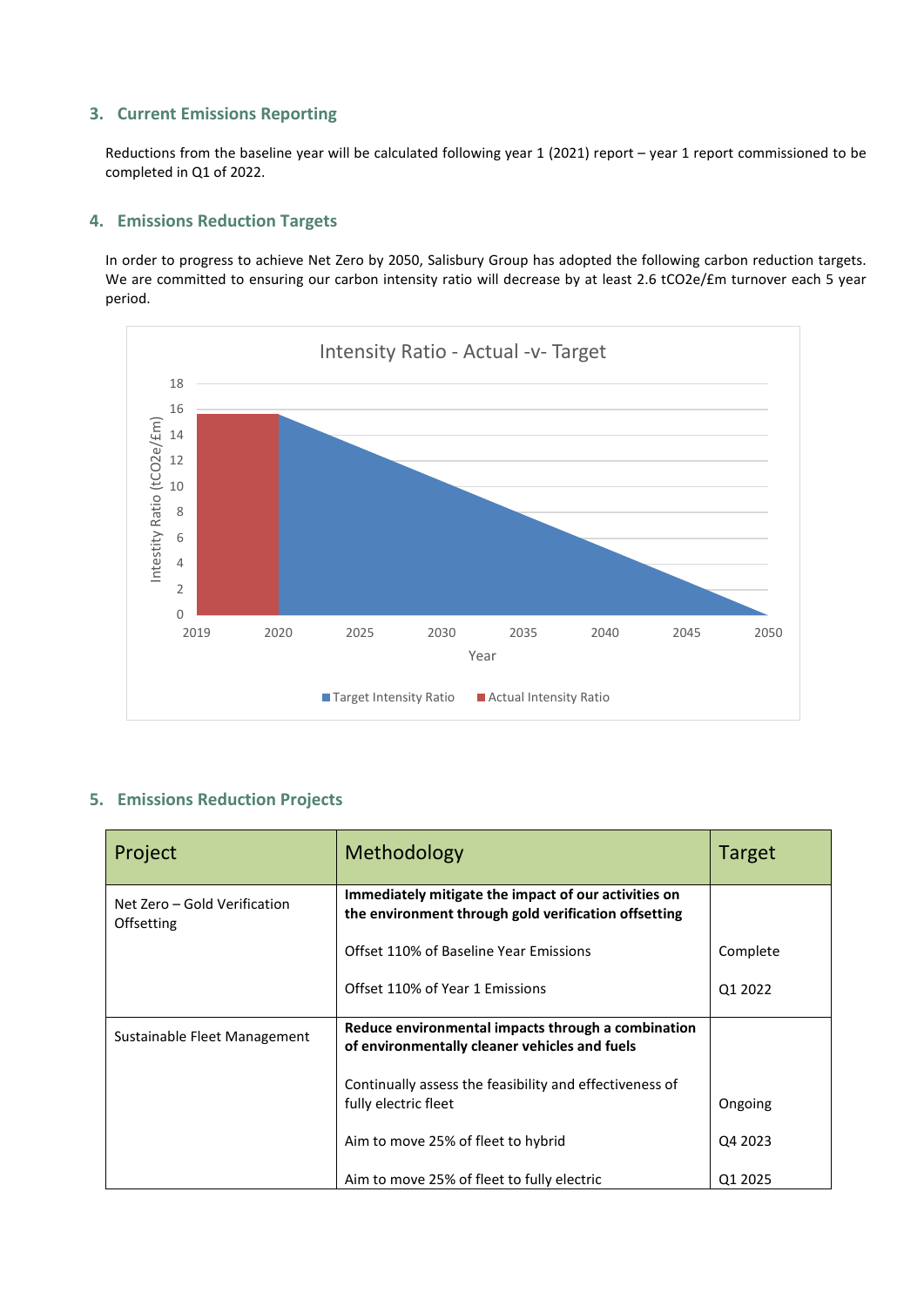## **3. Current Emissions Reporting**

Reductions from the baseline year will be calculated following year 1 (2021) report – year 1 report commissioned to be completed in Q1 of 2022.

### **4. Emissions Reduction Targets**

In order to progress to achieve Net Zero by 2050, Salisbury Group has adopted the following carbon reduction targets. We are committed to ensuring our carbon intensity ratio will decrease by at least 2.6 tCO2e/£m turnover each 5 year period.



## **5. Emissions Reduction Projects**

| Project                                    | Methodology                                                                                                  | <b>Target</b> |
|--------------------------------------------|--------------------------------------------------------------------------------------------------------------|---------------|
| Net Zero – Gold Verification<br>Offsetting | Immediately mitigate the impact of our activities on<br>the environment through gold verification offsetting |               |
|                                            | Offset 110% of Baseline Year Emissions                                                                       | Complete      |
|                                            | Offset 110% of Year 1 Emissions                                                                              | Q1 2022       |
| Sustainable Fleet Management               | Reduce environmental impacts through a combination<br>of environmentally cleaner vehicles and fuels          |               |
|                                            | Continually assess the feasibility and effectiveness of<br>fully electric fleet                              | Ongoing       |
|                                            | Aim to move 25% of fleet to hybrid                                                                           | Q4 2023       |
|                                            | Aim to move 25% of fleet to fully electric                                                                   | Q1 2025       |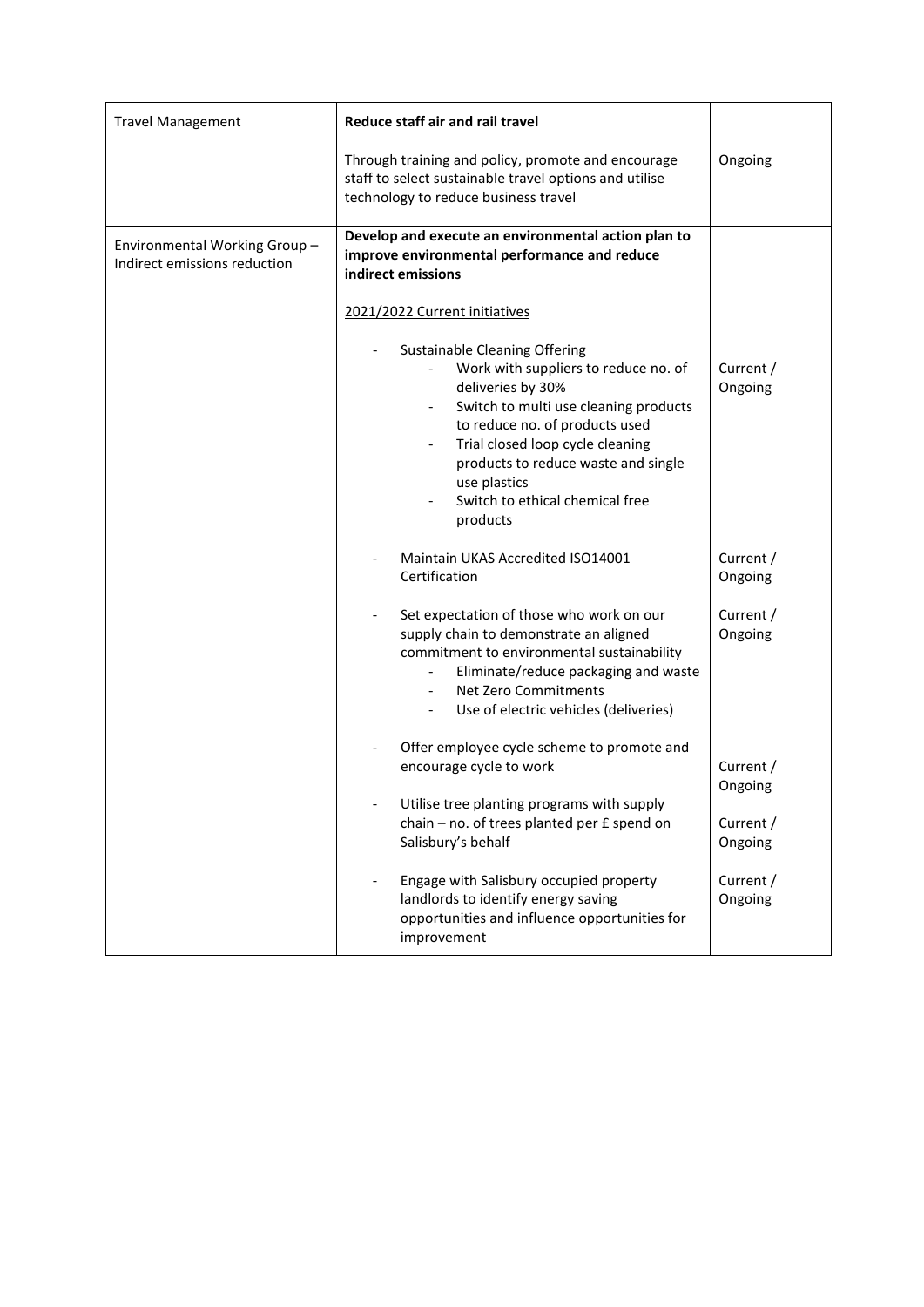| <b>Travel Management</b>                                     | Reduce staff air and rail travel                                                                                                                                                                                                                                                                                                                                                                                                                                                     |                      |
|--------------------------------------------------------------|--------------------------------------------------------------------------------------------------------------------------------------------------------------------------------------------------------------------------------------------------------------------------------------------------------------------------------------------------------------------------------------------------------------------------------------------------------------------------------------|----------------------|
|                                                              | Through training and policy, promote and encourage<br>staff to select sustainable travel options and utilise<br>technology to reduce business travel                                                                                                                                                                                                                                                                                                                                 | Ongoing              |
| Environmental Working Group-<br>Indirect emissions reduction | Develop and execute an environmental action plan to<br>improve environmental performance and reduce<br>indirect emissions<br>2021/2022 Current initiatives<br><b>Sustainable Cleaning Offering</b><br>Work with suppliers to reduce no. of<br>deliveries by 30%<br>Switch to multi use cleaning products<br>to reduce no. of products used<br>Trial closed loop cycle cleaning<br>products to reduce waste and single<br>use plastics<br>Switch to ethical chemical free<br>products | Current /<br>Ongoing |
|                                                              | Maintain UKAS Accredited ISO14001<br>Certification                                                                                                                                                                                                                                                                                                                                                                                                                                   | Current /<br>Ongoing |
|                                                              | Set expectation of those who work on our<br>supply chain to demonstrate an aligned<br>commitment to environmental sustainability<br>Eliminate/reduce packaging and waste<br>Net Zero Commitments<br>Use of electric vehicles (deliveries)                                                                                                                                                                                                                                            | Current /<br>Ongoing |
|                                                              | Offer employee cycle scheme to promote and<br>encourage cycle to work                                                                                                                                                                                                                                                                                                                                                                                                                | Current /<br>Ongoing |
|                                                              | Utilise tree planting programs with supply<br>chain - no. of trees planted per £ spend on<br>Salisbury's behalf                                                                                                                                                                                                                                                                                                                                                                      | Current /<br>Ongoing |
|                                                              | Engage with Salisbury occupied property<br>landlords to identify energy saving<br>opportunities and influence opportunities for<br>improvement                                                                                                                                                                                                                                                                                                                                       | Current /<br>Ongoing |